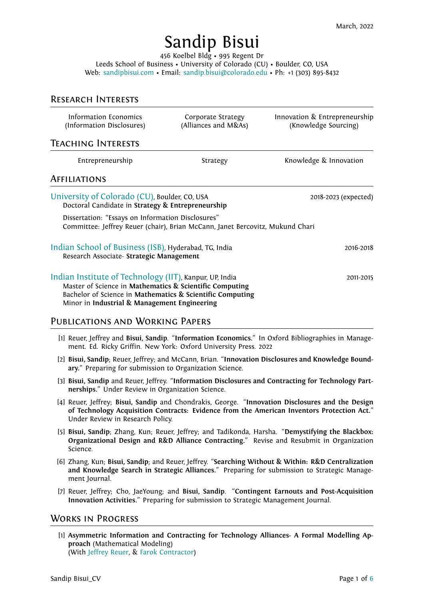# Sandip Bisui

456 Koelbel Bldg • 995 Regent Dr Leeds School of Business • University of Colorado (CU) • Boulder, CO, USA Web: [sandipbisui.com](http://www.sandipbisui.com) • Email: [sandip.bisui@colorado.edu](mailto:sandip\char `.bisui@colorado.edu) • Ph: +1 (303) 895-8432

### Research Interests

| Information Economics<br>(Information Disclosures)                                                                                                                                                                              | Corporate Strategy<br>(Alliances and M&As) | Innovation & Entrepreneurship<br>(Knowledge Sourcing) |
|---------------------------------------------------------------------------------------------------------------------------------------------------------------------------------------------------------------------------------|--------------------------------------------|-------------------------------------------------------|
| <b>TEACHING INTERESTS</b>                                                                                                                                                                                                       |                                            |                                                       |
| Entrepreneurship                                                                                                                                                                                                                | Strategy                                   | Knowledge & Innovation                                |
| <b>AFFILIATIONS</b>                                                                                                                                                                                                             |                                            |                                                       |
| University of Colorado (CU), Boulder, CO, USA<br>Doctoral Candidate in Strategy & Entrepreneurship                                                                                                                              |                                            | 2018-2023 (expected)                                  |
| Dissertation: "Essays on Information Disclosures"<br>Committee: Jeffrey Reuer (chair), Brian McCann, Janet Bercovitz, Mukund Chari                                                                                              |                                            |                                                       |
| Indian School of Business (ISB), Hyderabad, TG, India<br>Research Associate- Strategic Management                                                                                                                               |                                            | 2016-2018                                             |
| Indian Institute of Technology (IIT), Kanpur, UP, India<br>Master of Science in Mathematics & Scientific Computing<br>Bachelor of Science in Mathematics & Scientific Computing<br>Minor in Industrial & Management Engineering |                                            | 2011-2015                                             |

# Publications and Working Papers

- [1] Reuer, Jeffrey and **Bisui, Sandip**. "**Information Economics.**" In Oxford Bibliographies in Management. Ed. Ricky Griffin. New York: Oxford University Press. 2022
- [2] **Bisui, Sandip**; Reuer, Jeffrey; and McCann, Brian. "**Innovation Disclosures and Knowledge Boundary.**" Preparing for submission to Organization Science.
- [3] **Bisui, Sandip** and Reuer, Jeffrey. "**Information Disclosures and Contracting for Technology Partnerships.**" Under Review in Organization Science.
- [4] Reuer, Jeffrey; **Bisui, Sandip** and Chondrakis, George. "**Innovation Disclosures and the Design of Technology Acquisition Contracts: Evidence from the American Inventors Protection Act.**" Under Review in Research Policy.
- [5] **Bisui, Sandip**; Zhang, Kun; Reuer, Jeffrey; and Tadikonda, Harsha. "**Demystifying the Blackbox: Organizational Design and R&D Alliance Contracting.**" Revise and Resubmit in Organization Science.
- [6] Zhang, Kun; **Bisui, Sandip**; and Reuer, Jeffrey. "**Searching Without & Within: R&D Centralization and Knowledge Search in Strategic Alliances.**" Preparing for submission to Strategic Management Journal.
- [7] Reuer, Jeffrey; Cho, JaeYoung; and **Bisui, Sandip**. "**Contingent Earnouts and Post-Acquisition Innovation Activities.**" Preparing for submission to Strategic Management Journal.

## Works in Progress

[1] **Asymmetric Information and Contracting for Technology Alliances- A Formal Modelling Approach** (Mathematical Modeling) (With [Jeffrey Reuer,](https://www.colorado.edu/business/jeffrey-j-reuer) & [Farok Contractor](https://www.business.rutgers.edu/faculty/farok-contractor))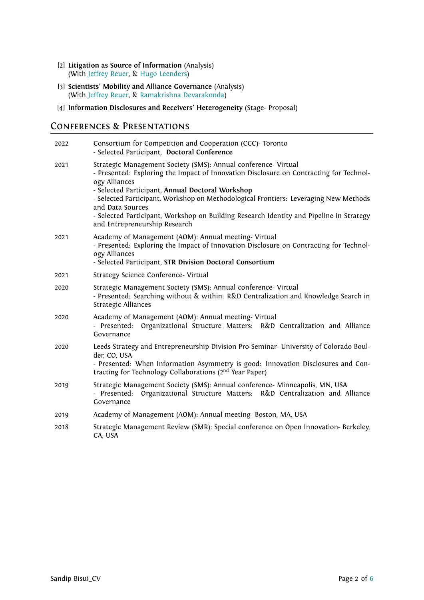- [2] **Litigation as Source of Information** (Analysis) (With [Jeffrey Reuer,](https://www.colorado.edu/business/jeffrey-j-reuer) & [Hugo Leenders\)](https://www.colorado.edu/business/hugo-leenders)
- [3] **Scientists' Mobility and Alliance Governance** (Analysis) (With [Jeffrey Reuer,](https://www.colorado.edu/business/jeffrey-j-reuer) & [Ramakrishna Devarakonda](https://www.bschool.cuhk.edu.hk/staff/devarakonda-ramakrishna/))
- [4] **Information Disclosures and Receivers' Heterogeneity** (Stage- Proposal)

# Conferences & Presentations

| 2022 | Consortium for Competition and Cooperation (CCC)- Toronto<br>- Selected Participant, Doctoral Conference                                                                                                                                                                                                                                                                                                                                                              |
|------|-----------------------------------------------------------------------------------------------------------------------------------------------------------------------------------------------------------------------------------------------------------------------------------------------------------------------------------------------------------------------------------------------------------------------------------------------------------------------|
| 2021 | Strategic Management Society (SMS): Annual conference- Virtual<br>- Presented: Exploring the Impact of Innovation Disclosure on Contracting for Technol-<br>ogy Alliances<br>- Selected Participant, Annual Doctoral Workshop<br>- Selected Participant, Workshop on Methodological Frontiers: Leveraging New Methods<br>and Data Sources<br>- Selected Participant, Workshop on Building Research Identity and Pipeline in Strategy<br>and Entrepreneurship Research |
| 2021 | Academy of Management (AOM): Annual meeting- Virtual<br>- Presented: Exploring the Impact of Innovation Disclosure on Contracting for Technol-<br>ogy Alliances<br>- Selected Participant, STR Division Doctoral Consortium                                                                                                                                                                                                                                           |
| 2021 | Strategy Science Conference- Virtual                                                                                                                                                                                                                                                                                                                                                                                                                                  |
| 2020 | Strategic Management Society (SMS): Annual conference- Virtual<br>- Presented: Searching without & within: R&D Centralization and Knowledge Search in<br><b>Strategic Alliances</b>                                                                                                                                                                                                                                                                                   |
| 2020 | Academy of Management (AOM): Annual meeting-Virtual<br>- Presented:<br>Organizational Structure Matters: R&D Centralization and Alliance<br>Governance                                                                                                                                                                                                                                                                                                                |
| 2020 | Leeds Strategy and Entrepreneurship Division Pro-Seminar- University of Colorado Boul-<br>der, CO, USA<br>- Presented: When Information Asymmetry is good: Innovation Disclosures and Con-<br>tracting for Technology Collaborations (2 <sup>nd</sup> Year Paper)                                                                                                                                                                                                     |
| 2019 | Strategic Management Society (SMS): Annual conference- Minneapolis, MN, USA<br>Organizational Structure Matters: R&D Centralization and Alliance<br>- Presented:<br>Governance                                                                                                                                                                                                                                                                                        |
| 2019 | Academy of Management (AOM): Annual meeting- Boston, MA, USA                                                                                                                                                                                                                                                                                                                                                                                                          |
| 2018 | Strategic Management Review (SMR): Special conference on Open Innovation-Berkeley,<br>CA, USA                                                                                                                                                                                                                                                                                                                                                                         |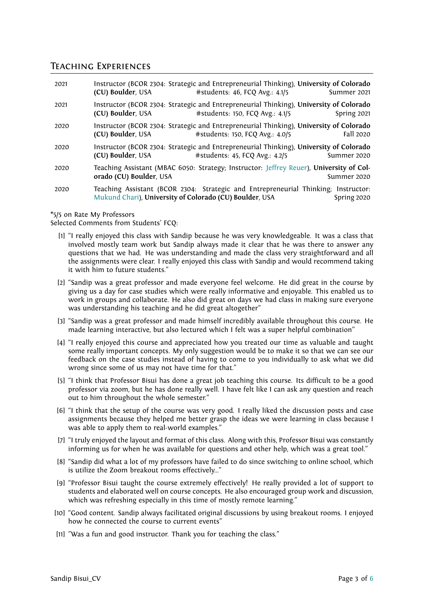## Teaching Experiences

| 2021 | (CU) Boulder, USA       | Instructor (BCOR 2304: Strategic and Entrepreneurial Thinking), University of Colorado<br>#students: 46, FCQ Avg.: 4.1/5                      | Summer 2021 |
|------|-------------------------|-----------------------------------------------------------------------------------------------------------------------------------------------|-------------|
| 2021 | (CU) Boulder, USA       | Instructor (BCOR 2304: Strategic and Entrepreneurial Thinking), University of Colorado<br>#students: 150, FCQ Avg.: 4.1/5                     | Spring 2021 |
| 2020 | (CU) Boulder, USA       | Instructor (BCOR 2304: Strategic and Entrepreneurial Thinking), University of Colorado<br>#students: 150, FCQ Avg.: 4.0/5                     | Fall 2020   |
| 2020 | (CU) Boulder, USA       | Instructor (BCOR 2304: Strategic and Entrepreneurial Thinking), University of Colorado<br>#students: 45, FCQ Avg.: 4.2/5                      | Summer 2020 |
| 2020 | orado (CU) Boulder, USA | Teaching Assistant (MBAC 6050: Strategy; Instructor: Jeffrey Reuer), University of Col-                                                       | Summer 2020 |
| 2020 |                         | Teaching Assistant (BCOR 2304: Strategic and Entrepreneurial Thinking; Instructor:<br>Mukund Chari), University of Colorado (CU) Boulder, USA | Spring 2020 |

\*5/5 on Rate My Professors

Selected Comments from Students' FCQ:

- [1] "I really enjoyed this class with Sandip because he was very knowledgeable. It was a class that involved mostly team work but Sandip always made it clear that he was there to answer any questions that we had. He was understanding and made the class very straightforward and all the assignments were clear. I really enjoyed this class with Sandip and would recommend taking it with him to future students."
- [2] "Sandip was a great professor and made everyone feel welcome. He did great in the course by giving us a day for case studies which were really informative and enjoyable. This enabled us to work in groups and collaborate. He also did great on days we had class in making sure everyone was understanding his teaching and he did great altogether"
- [3] "Sandip was a great professor and made himself incredibly available throughout this course. He made learning interactive, but also lectured which I felt was a super helpful combination"
- [4] "I really enjoyed this course and appreciated how you treated our time as valuable and taught some really important concepts. My only suggestion would be to make it so that we can see our feedback on the case studies instead of having to come to you individually to ask what we did wrong since some of us may not have time for that."
- [5] "I think that Professor Bisui has done a great job teaching this course. Its difficult to be a good professor via zoom, but he has done really well. I have felt like I can ask any question and reach out to him throughout the whole semester."
- [6] "I think that the setup of the course was very good. I really liked the discussion posts and case assignments because they helped me better grasp the ideas we were learning in class because I was able to apply them to real-world examples."
- [7] "I truly enjoyed the layout and format of this class. Along with this, Professor Bisui was constantly informing us for when he was available for questions and other help, which was a great tool."
- [8] "Sandip did what a lot of my professors have failed to do since switching to online school, which is utilize the Zoom breakout rooms effectively..."
- [9] "Professor Bisui taught the course extremely effectively! He really provided a lot of support to students and elaborated well on course concepts. He also encouraged group work and discussion, which was refreshing especially in this time of mostly remote learning."
- [10] "Good content. Sandip always facilitated original discussions by using breakout rooms. I enjoyed how he connected the course to current events"
- [11] "Was a fun and good instructor. Thank you for teaching the class."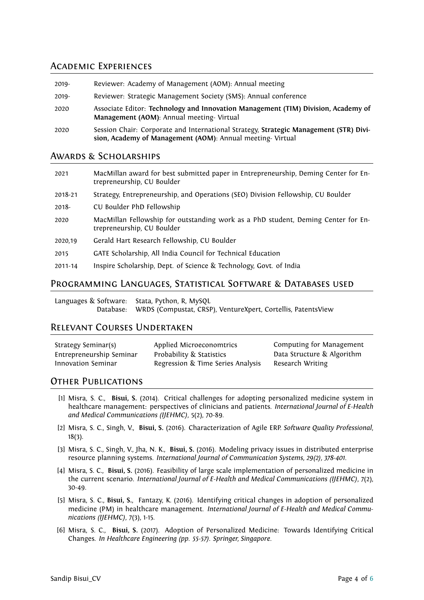# Academic Experiences

| $2019 -$ | Reviewer: Academy of Management (AOM): Annual meeting                                                                                              |
|----------|----------------------------------------------------------------------------------------------------------------------------------------------------|
| $2019 -$ | Reviewer: Strategic Management Society (SMS): Annual conference                                                                                    |
| 2020     | Associate Editor: Technology and Innovation Management (TIM) Division, Academy of<br>Management (AOM): Annual meeting-Virtual                      |
| 2020     | Session Chair: Corporate and International Strategy, Strategic Management (STR) Divi-<br>sion, Academy of Management (AOM): Annual meeting-Virtual |

## Awards & Scholarships

| 2021     | MacMillan award for best submitted paper in Entrepreneurship, Deming Center for En-<br>trepreneurship, CU Boulder |
|----------|-------------------------------------------------------------------------------------------------------------------|
| 2018-21  | Strategy, Entrepreneurship, and Operations (SEO) Division Fellowship, CU Boulder                                  |
| $2018 -$ | CU Boulder PhD Fellowship                                                                                         |
| 2020     | MacMillan Fellowship for outstanding work as a PhD student, Deming Center for En-<br>trepreneurship, CU Boulder   |
| 2020,19  | Gerald Hart Research Fellowship, CU Boulder                                                                       |
| 2015     | GATE Scholarship, All India Council for Technical Education                                                       |
| 2011-14  | Inspire Scholarship, Dept. of Science & Technology, Govt. of India                                                |

# Programming Languages, Statistical Software & Databases used

Languages & Software: Stata, Python, R, MySQL Database: WRDS (Compustat, CRSP), VentureXpert, Cortellis, PatentsView

# Relevant Courses Undertaken

| Strategy Seminar(s)      | Applied Microeconomtrics          | <b>Computing for Management</b> |
|--------------------------|-----------------------------------|---------------------------------|
| Entrepreneurship Seminar | Probability & Statistics          | Data Structure & Algorithm      |
| Innovation Seminar       | Regression & Time Series Analysis | Research Writing                |

# **OTHER PUBLICATIONS**

- [1] Misra, S. C., **Bisui, S.** (2014). Critical challenges for adopting personalized medicine system in healthcare management: perspectives of clinicians and patients. *International Journal of E-Health and Medical Communications (IJEHMC)*, 5(2), 70-89.
- [2] Misra, S. C., Singh, V., **Bisui, S.** (2016). Characterization of Agile ERP. *Software Quality Professional*, 18(3).
- [3] Misra, S. C., Singh, V., Jha, N. K., **Bisui, S.** (2016). Modeling privacy issues in distributed enterprise resource planning systems. *International Journal of Communication Systems, 29(2), 378-401.*
- [4] Misra, S. C., **Bisui, S.** (2016). Feasibility of large scale implementation of personalized medicine in the current scenario. *International Journal of E-Health and Medical Communications (IJEHMC)*, 7(2), 30-49.
- [5] Misra, S. C., **Bisui, S.**, Fantazy, K. (2016). Identifying critical changes in adoption of personalized medicine (PM) in healthcare management. *International Journal of E-Health and Medical Communications (IJEHMC)*, 7(3), 1-15.
- [6] Misra, S. C., **Bisui, S.** (2017). Adoption of Personalized Medicine: Towards Identifying Critical Changes. *In Healthcare Engineering (pp. 55-57). Springer, Singapore*.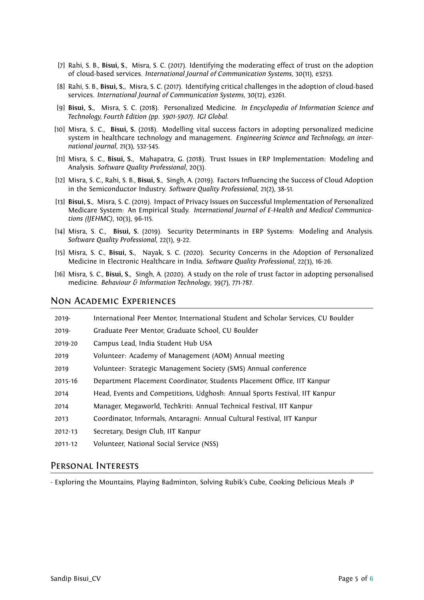- [7] Rahi, S. B., **Bisui, S**., Misra, S. C. (2017). Identifying the moderating effect of trust on the adoption of cloud-based services. *International Journal of Communication Systems*, 30(11), e3253.
- [8] Rahi, S. B., **Bisui, S.**, Misra, S. C. (2017). Identifying critical challenges in the adoption of cloud-based services. *International Journal of Communication Systems*, 30(12), e3261.
- [9] **Bisui, S.**, Misra, S. C. (2018). Personalized Medicine. *In Encyclopedia of Information Science and Technology, Fourth Edition (pp. 5901-5907). IGI Global*.
- [10] Misra, S. C., **Bisui, S.** (2018). Modelling vital success factors in adopting personalized medicine system in healthcare technology and management. *Engineering Science and Technology, an international journal*, 21(3), 532-545.
- [11] Misra, S. C., **Bisui, S.**, Mahapatra, G. (2018). Trust Issues in ERP Implementation: Modeling and Analysis. *Software Quality Professional*, 20(3).
- [12] Misra, S. C., Rahi, S. B., **Bisui, S**., Singh, A. (2019). Factors Influencing the Success of Cloud Adoption in the Semiconductor Industry. *Software Quality Professional*, 21(2), 38-51.
- [13] **Bisui, S.**, Misra, S. C. (2019). Impact of Privacy Issues on Successful Implementation of Personalized Medicare System: An Empirical Study. *International Journal of E-Health and Medical Communications (IJEHMC)*, 10(3), 96-115.
- [14] Misra, S. C., **Bisui, S.** (2019). Security Determinants in ERP Systems: Modeling and Analysis. *Software Quality Professional*, 22(1), 9-22.
- [15] Misra, S. C., **Bisui, S.**, Nayak, S. C. (2020). Security Concerns in the Adoption of Personalized Medicine in Electronic Healthcare in India. *Software Quality Professional*, 22(3), 16-26.
- [16] Misra, S. C., **Bisui, S.**, Singh, A. (2020). A study on the role of trust factor in adopting personalised medicine. *Behaviour & Information Technology*, 39(7), 771-787.

#### Non Academic Experiences

| $2019 -$ | International Peer Mentor, International Student and Scholar Services, CU Boulder |
|----------|-----------------------------------------------------------------------------------|
| $2019 -$ | Graduate Peer Mentor, Graduate School, CU Boulder                                 |
| 2019-20  | Campus Lead, India Student Hub USA                                                |
| 2019     | Volunteer: Academy of Management (AOM) Annual meeting                             |
| 2019     | Volunteer: Strategic Management Society (SMS) Annual conference                   |
| 2015-16  | Department Placement Coordinator, Students Placement Office, IIT Kanpur           |
| 2014     | Head, Events and Competitions, Udghosh: Annual Sports Festival, IIT Kanpur        |
| 2014     | Manager, Megaworld, Techkriti: Annual Technical Festival, IIT Kanpur              |
| 2013     | Coordinator, Informals, Antaragni: Annual Cultural Festival, IIT Kanpur           |
| 2012-13  | Secretary, Design Club, IIT Kanpur                                                |
| 2011-12  | Volunteer, National Social Service (NSS)                                          |
|          |                                                                                   |

#### Personal Interests

- Exploring the Mountains, Playing Badminton, Solving Rubik's Cube, Cooking Delicious Meals :P